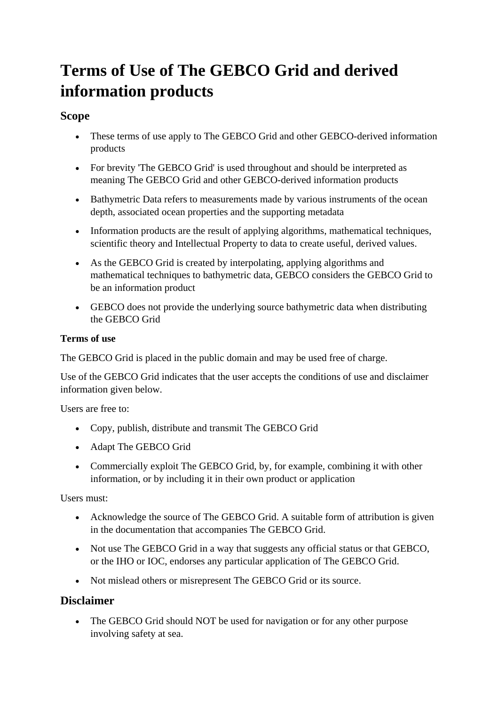# **Terms of Use of The GEBCO Grid and derived information products**

## **Scope**

- These terms of use apply to The GEBCO Grid and other GEBCO-derived information products
- For brevity 'The GEBCO Grid' is used throughout and should be interpreted as meaning The GEBCO Grid and other GEBCO-derived information products
- Bathymetric Data refers to measurements made by various instruments of the ocean depth, associated ocean properties and the supporting metadata
- Information products are the result of applying algorithms, mathematical techniques, scientific theory and Intellectual Property to data to create useful, derived values.
- As the GEBCO Grid is created by interpolating, applying algorithms and mathematical techniques to bathymetric data, GEBCO considers the GEBCO Grid to be an information product
- GEBCO does not provide the underlying source bathymetric data when distributing the GEBCO Grid

#### **Terms of use**

The GEBCO Grid is placed in the public domain and may be used free of charge.

Use of the GEBCO Grid indicates that the user accepts the conditions of use and disclaimer information given below.

Users are free to:

- Copy, publish, distribute and transmit The GEBCO Grid
- Adapt The GEBCO Grid
- Commercially exploit The GEBCO Grid, by, for example, combining it with other information, or by including it in their own product or application

Users must:

- Acknowledge the source of The GEBCO Grid. A suitable form of attribution is given in the documentation that accompanies The GEBCO Grid.
- Not use The GEBCO Grid in a way that suggests any official status or that GEBCO, or the IHO or IOC, endorses any particular application of The GEBCO Grid.
- Not mislead others or misrepresent The GEBCO Grid or its source.

## **Disclaimer**

• The GEBCO Grid should NOT be used for navigation or for any other purpose involving safety at sea.